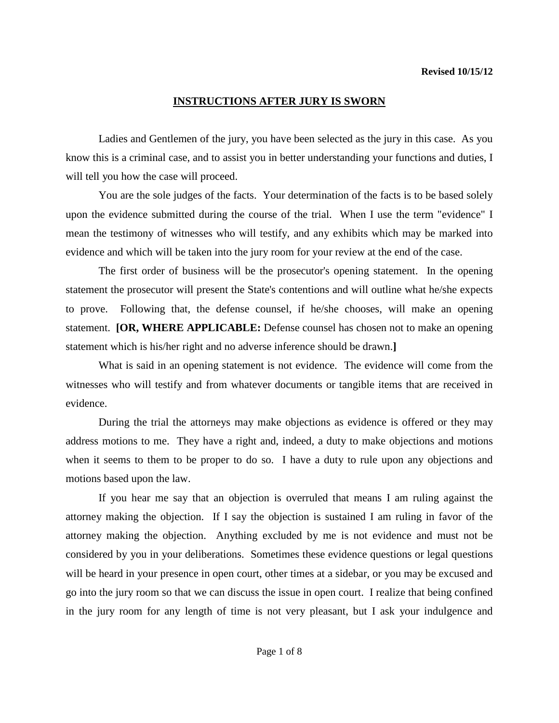Ladies and Gentlemen of the jury, you have been selected as the jury in this case. As you know this is a criminal case, and to assist you in better understanding your functions and duties, I will tell you how the case will proceed.

You are the sole judges of the facts. Your determination of the facts is to be based solely upon the evidence submitted during the course of the trial. When I use the term "evidence" I mean the testimony of witnesses who will testify, and any exhibits which may be marked into evidence and which will be taken into the jury room for your review at the end of the case.

The first order of business will be the prosecutor's opening statement. In the opening statement the prosecutor will present the State's contentions and will outline what he/she expects to prove. Following that, the defense counsel, if he/she chooses, will make an opening statement. **[OR, WHERE APPLICABLE:** Defense counsel has chosen not to make an opening statement which is his/her right and no adverse inference should be drawn.**]**

What is said in an opening statement is not evidence. The evidence will come from the witnesses who will testify and from whatever documents or tangible items that are received in evidence.

During the trial the attorneys may make objections as evidence is offered or they may address motions to me. They have a right and, indeed, a duty to make objections and motions when it seems to them to be proper to do so. I have a duty to rule upon any objections and motions based upon the law.

<span id="page-0-0"></span>If you hear me say that an objection is overruled that means I am ruling against the attorney making the objection. If I say the objection is sustained I am ruling in favor of the attorney making the objection. Anything excluded by me is not evidence and must not be considered by you in your deliberations. Sometimes these evidence questions or legal questions will be heard in your presence in open court, other times at a sidebar, or you may be excused and go into the jury room so that we can discuss the issue in open court. I realize that being confined in the jury room for any length of time is not very pleasant, but I ask your indulgence and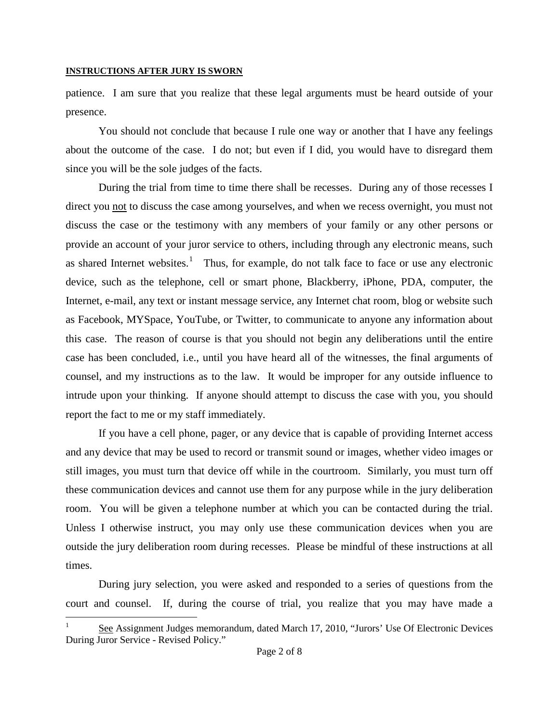patience. I am sure that you realize that these legal arguments must be heard outside of your presence.

You should not conclude that because I rule one way or another that I have any feelings about the outcome of the case. I do not; but even if I did, you would have to disregard them since you will be the sole judges of the facts.

During the trial from time to time there shall be recesses. During any of those recesses I direct you not to discuss the case among yourselves, and when we recess overnight, you must not discuss the case or the testimony with any members of your family or any other persons or provide an account of your juror service to others, including through any electronic means, such as shared Internet websites.<sup>[1](#page-0-0)</sup> Thus, for example, do not talk face to face or use any electronic device, such as the telephone, cell or smart phone, Blackberry, iPhone, PDA, computer, the Internet, e-mail, any text or instant message service, any Internet chat room, blog or website such as Facebook, MYSpace, YouTube, or Twitter, to communicate to anyone any information about this case.The reason of course is that you should not begin any deliberations until the entire case has been concluded, i.e., until you have heard all of the witnesses, the final arguments of counsel, and my instructions as to the law. It would be improper for any outside influence to intrude upon your thinking. If anyone should attempt to discuss the case with you, you should report the fact to me or my staff immediately.

If you have a cell phone, pager, or any device that is capable of providing Internet access and any device that may be used to record or transmit sound or images, whether video images or still images, you must turn that device off while in the courtroom. Similarly, you must turn off these communication devices and cannot use them for any purpose while in the jury deliberation room. You will be given a telephone number at which you can be contacted during the trial. Unless I otherwise instruct, you may only use these communication devices when you are outside the jury deliberation room during recesses. Please be mindful of these instructions at all times.

During jury selection, you were asked and responded to a series of questions from the court and counsel. If, during the course of trial, you realize that you may have made a

<span id="page-1-0"></span>See Assignment Judges memorandum, dated March 17, 2010, "Jurors' Use Of Electronic Devices During Juror Service - Revised Policy."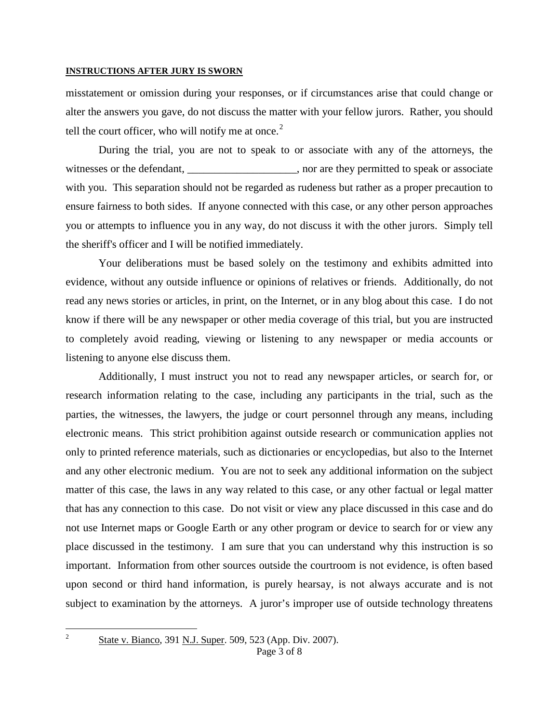misstatement or omission during your responses, or if circumstances arise that could change or alter the answers you gave, do not discuss the matter with your fellow jurors. Rather, you should tell the court officer, who will notify me at once. $2$ 

During the trial, you are not to speak to or associate with any of the attorneys, the witnesses or the defendant, \_\_\_\_\_\_\_\_\_\_\_\_\_\_\_\_, nor are they permitted to speak or associate with you. This separation should not be regarded as rudeness but rather as a proper precaution to ensure fairness to both sides. If anyone connected with this case, or any other person approaches you or attempts to influence you in any way, do not discuss it with the other jurors. Simply tell the sheriff's officer and I will be notified immediately.

Your deliberations must be based solely on the testimony and exhibits admitted into evidence, without any outside influence or opinions of relatives or friends. Additionally, do not read any news stories or articles, in print, on the Internet, or in any blog about this case. I do not know if there will be any newspaper or other media coverage of this trial, but you are instructed to completely avoid reading, viewing or listening to any newspaper or media accounts or listening to anyone else discuss them.

Additionally, I must instruct you not to read any newspaper articles, or search for, or research information relating to the case, including any participants in the trial, such as the parties, the witnesses, the lawyers, the judge or court personnel through any means, including electronic means. This strict prohibition against outside research or communication applies not only to printed reference materials, such as dictionaries or encyclopedias, but also to the Internet and any other electronic medium. You are not to seek any additional information on the subject matter of this case, the laws in any way related to this case, or any other factual or legal matter that has any connection to this case. Do not visit or view any place discussed in this case and do not use Internet maps or Google Earth or any other program or device to search for or view any place discussed in the testimony. I am sure that you can understand why this instruction is so important. Information from other sources outside the courtroom is not evidence, is often based upon second or third hand information, is purely hearsay, is not always accurate and is not subject to examination by the attorneys. A juror's improper use of outside technology threatens

<span id="page-2-0"></span>

 $2^2$  State v. Bianco, 391 N.J. Super. 509, 523 (App. Div. 2007).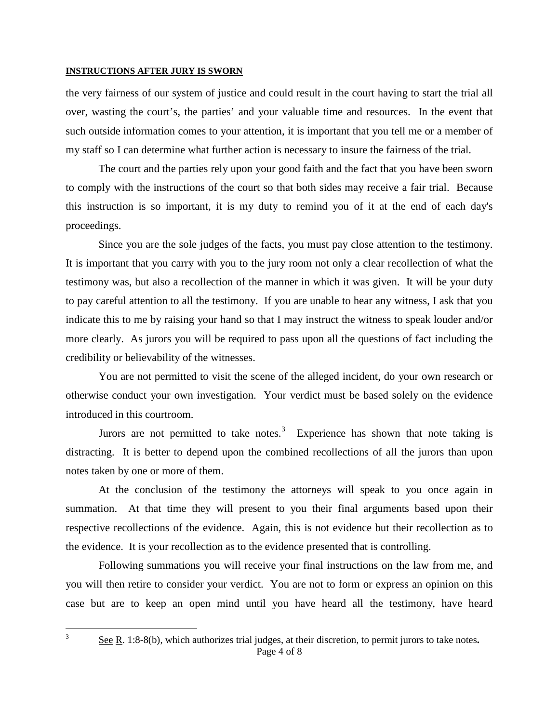the very fairness of our system of justice and could result in the court having to start the trial all over, wasting the court's, the parties' and your valuable time and resources. In the event that such outside information comes to your attention, it is important that you tell me or a member of my staff so I can determine what further action is necessary to insure the fairness of the trial.

The court and the parties rely upon your good faith and the fact that you have been sworn to comply with the instructions of the court so that both sides may receive a fair trial. Because this instruction is so important, it is my duty to remind you of it at the end of each day's proceedings.

Since you are the sole judges of the facts, you must pay close attention to the testimony. It is important that you carry with you to the jury room not only a clear recollection of what the testimony was, but also a recollection of the manner in which it was given. It will be your duty to pay careful attention to all the testimony. If you are unable to hear any witness, I ask that you indicate this to me by raising your hand so that I may instruct the witness to speak louder and/or more clearly. As jurors you will be required to pass upon all the questions of fact including the credibility or believability of the witnesses.

You are not permitted to visit the scene of the alleged incident, do your own research or otherwise conduct your own investigation. Your verdict must be based solely on the evidence introduced in this courtroom.

Jurors are not permitted to take notes.<sup>[3](#page-2-0)</sup> Experience has shown that note taking is distracting. It is better to depend upon the combined recollections of all the jurors than upon notes taken by one or more of them.

At the conclusion of the testimony the attorneys will speak to you once again in summation. At that time they will present to you their final arguments based upon their respective recollections of the evidence. Again, this is not evidence but their recollection as to the evidence. It is your recollection as to the evidence presented that is controlling.

<span id="page-3-0"></span>Following summations you will receive your final instructions on the law from me, and you will then retire to consider your verdict. You are not to form or express an opinion on this case but are to keep an open mind until you have heard all the testimony, have heard

Page 4 of 8 3 See R. 1:8-8(b), which authorizes trial judges, at their discretion, to permit jurors to take notes**.**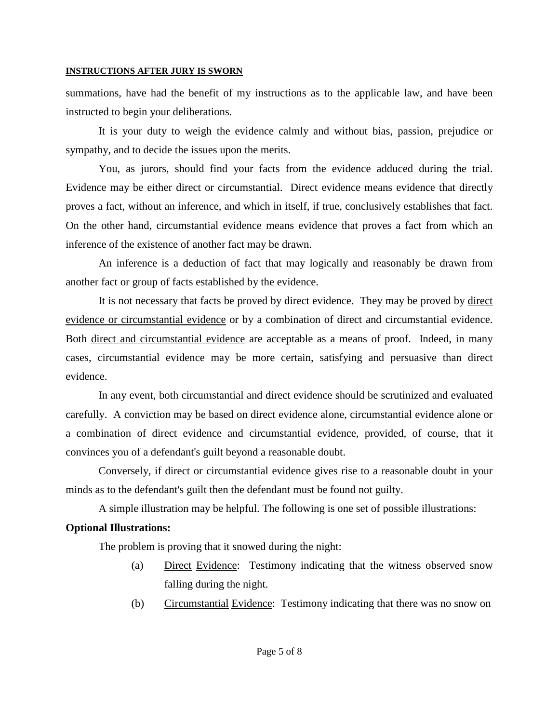summations, have had the benefit of my instructions as to the applicable law, and have been instructed to begin your deliberations.

It is your duty to weigh the evidence calmly and without bias, passion, prejudice or sympathy, and to decide the issues upon the merits.

You, as jurors, should find your facts from the evidence adduced during the trial. Evidence may be either direct or circumstantial. Direct evidence means evidence that directly proves a fact, without an inference, and which in itself, if true, conclusively establishes that fact. On the other hand, circumstantial evidence means evidence that proves a fact from which an inference of the existence of another fact may be drawn.

An inference is a deduction of fact that may logically and reasonably be drawn from another fact or group of facts established by the evidence.

It is not necessary that facts be proved by direct evidence. They may be proved by direct evidence or circumstantial evidence or by a combination of direct and circumstantial evidence. Both direct and circumstantial evidence are acceptable as a means of proof. Indeed, in many cases, circumstantial evidence may be more certain, satisfying and persuasive than direct evidence.

In any event, both circumstantial and direct evidence should be scrutinized and evaluated carefully. A conviction may be based on direct evidence alone, circumstantial evidence alone or a combination of direct evidence and circumstantial evidence, provided, of course, that it convinces you of a defendant's guilt beyond a reasonable doubt.

Conversely, if direct or circumstantial evidence gives rise to a reasonable doubt in your minds as to the defendant's guilt then the defendant must be found not guilty.

A simple illustration may be helpful. The following is one set of possible illustrations:

## **Optional Illustrations:**

The problem is proving that it snowed during the night:

- (a) Direct Evidence: Testimony indicating that the witness observed snow falling during the night.
- (b) Circumstantial Evidence: Testimony indicating that there was no snow on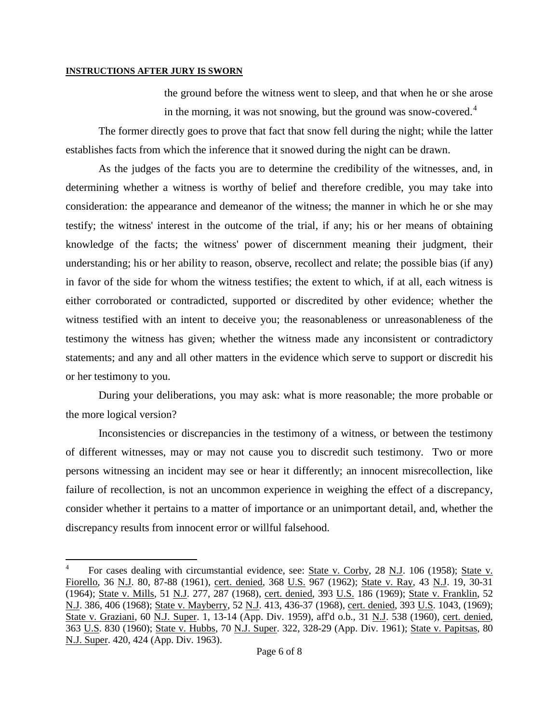the ground before the witness went to sleep, and that when he or she arose in the morning, it was not snowing, but the ground was snow-covered.<sup>[4](#page-3-0)</sup>

The former directly goes to prove that fact that snow fell during the night; while the latter establishes facts from which the inference that it snowed during the night can be drawn.

As the judges of the facts you are to determine the credibility of the witnesses, and, in determining whether a witness is worthy of belief and therefore credible, you may take into consideration: the appearance and demeanor of the witness; the manner in which he or she may testify; the witness' interest in the outcome of the trial, if any; his or her means of obtaining knowledge of the facts; the witness' power of discernment meaning their judgment, their understanding; his or her ability to reason, observe, recollect and relate; the possible bias (if any) in favor of the side for whom the witness testifies; the extent to which, if at all, each witness is either corroborated or contradicted, supported or discredited by other evidence; whether the witness testified with an intent to deceive you; the reasonableness or unreasonableness of the testimony the witness has given; whether the witness made any inconsistent or contradictory statements; and any and all other matters in the evidence which serve to support or discredit his or her testimony to you.

During your deliberations, you may ask: what is more reasonable; the more probable or the more logical version?

Inconsistencies or discrepancies in the testimony of a witness, or between the testimony of different witnesses, may or may not cause you to discredit such testimony. Two or more persons witnessing an incident may see or hear it differently; an innocent misrecollection, like failure of recollection, is not an uncommon experience in weighing the effect of a discrepancy, consider whether it pertains to a matter of importance or an unimportant detail, and, whether the discrepancy results from innocent error or willful falsehood.

 <sup>4</sup> For cases dealing with circumstantial evidence, see: State v. Corby, 28 N.J. 106 (1958); State v. Fiorello, 36 N.J. 80, 87-88 (1961), cert. denied, 368 U.S. 967 (1962); State v. Ray, 43 N.J. 19, 30-31 (1964); State v. Mills, 51 N.J. 277, 287 (1968), cert. denied, 393 U.S. 186 (1969); State v. Franklin, 52 N.J. 386, 406 (1968); State v. Mayberry, 52 N.J. 413, 436-37 (1968), cert. denied, 393 U.S. 1043, (1969); State v. Graziani, 60 N.J. Super. 1, 13-14 (App. Div. 1959), aff'd o.b., 31 N.J. 538 (1960), cert. denied, 363 U.S. 830 (1960); State v. Hubbs, 70 N.J. Super. 322, 328-29 (App. Div. 1961); State v. Papitsas, 80 N.J. Super. 420, 424 (App. Div. 1963).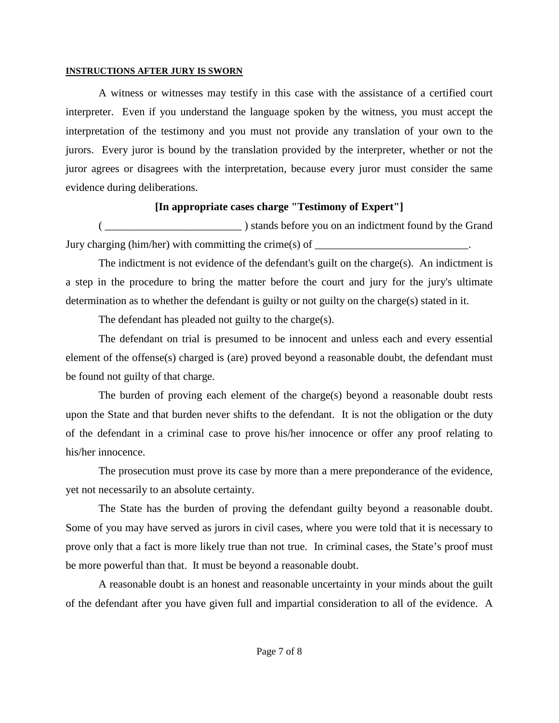A witness or witnesses may testify in this case with the assistance of a certified court interpreter. Even if you understand the language spoken by the witness, you must accept the interpretation of the testimony and you must not provide any translation of your own to the jurors. Every juror is bound by the translation provided by the interpreter, whether or not the juror agrees or disagrees with the interpretation, because every juror must consider the same evidence during deliberations.

# **[In appropriate cases charge "Testimony of Expert"]**

( \_\_\_\_\_\_\_\_\_\_\_\_\_\_\_\_\_\_\_\_\_\_\_\_\_ ) stands before you on an indictment found by the Grand Jury charging (him/her) with committing the crime(s) of  $\Box$ 

The indictment is not evidence of the defendant's guilt on the charge(s). An indictment is a step in the procedure to bring the matter before the court and jury for the jury's ultimate determination as to whether the defendant is guilty or not guilty on the charge(s) stated in it.

The defendant has pleaded not guilty to the charge(s).

The defendant on trial is presumed to be innocent and unless each and every essential element of the offense(s) charged is (are) proved beyond a reasonable doubt, the defendant must be found not guilty of that charge.

The burden of proving each element of the charge(s) beyond a reasonable doubt rests upon the State and that burden never shifts to the defendant. It is not the obligation or the duty of the defendant in a criminal case to prove his/her innocence or offer any proof relating to his/her innocence.

The prosecution must prove its case by more than a mere preponderance of the evidence, yet not necessarily to an absolute certainty.

The State has the burden of proving the defendant guilty beyond a reasonable doubt. Some of you may have served as jurors in civil cases, where you were told that it is necessary to prove only that a fact is more likely true than not true. In criminal cases, the State's proof must be more powerful than that. It must be beyond a reasonable doubt.

A reasonable doubt is an honest and reasonable uncertainty in your minds about the guilt of the defendant after you have given full and impartial consideration to all of the evidence. A